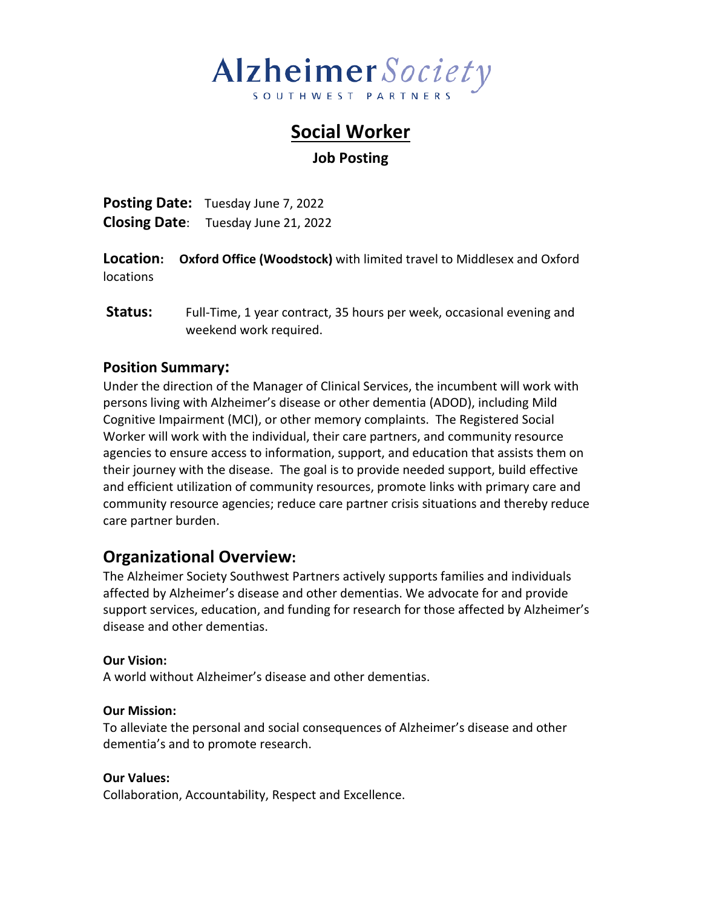

## **Social Worker**

### **Job Posting**

Posting Date: Tuesday June 7, 2022 **Closing Date**: Tuesday June 21, 2022

**Location: Oxford Office (Woodstock)** with limited travel to Middlesex and Oxford locations

**Status:** Full-Time, 1 year contract, 35 hours per week, occasional evening and weekend work required.

#### **Position Summary:**

Under the direction of the Manager of Clinical Services, the incumbent will work with persons living with Alzheimer's disease or other dementia (ADOD), including Mild Cognitive Impairment (MCI), or other memory complaints. The Registered Social Worker will work with the individual, their care partners, and community resource agencies to ensure access to information, support, and education that assists them on their journey with the disease. The goal is to provide needed support, build effective and efficient utilization of community resources, promote links with primary care and community resource agencies; reduce care partner crisis situations and thereby reduce care partner burden.

## **Organizational Overview:**

The Alzheimer Society Southwest Partners actively supports families and individuals affected by Alzheimer's disease and other dementias. We advocate for and provide support services, education, and funding for research for those affected by Alzheimer's disease and other dementias.

#### **Our Vision:**

A world without Alzheimer's disease and other dementias.

#### **Our Mission:**

To alleviate the personal and social consequences of Alzheimer's disease and other dementia's and to promote research.

#### **Our Values:**

Collaboration, Accountability, Respect and Excellence.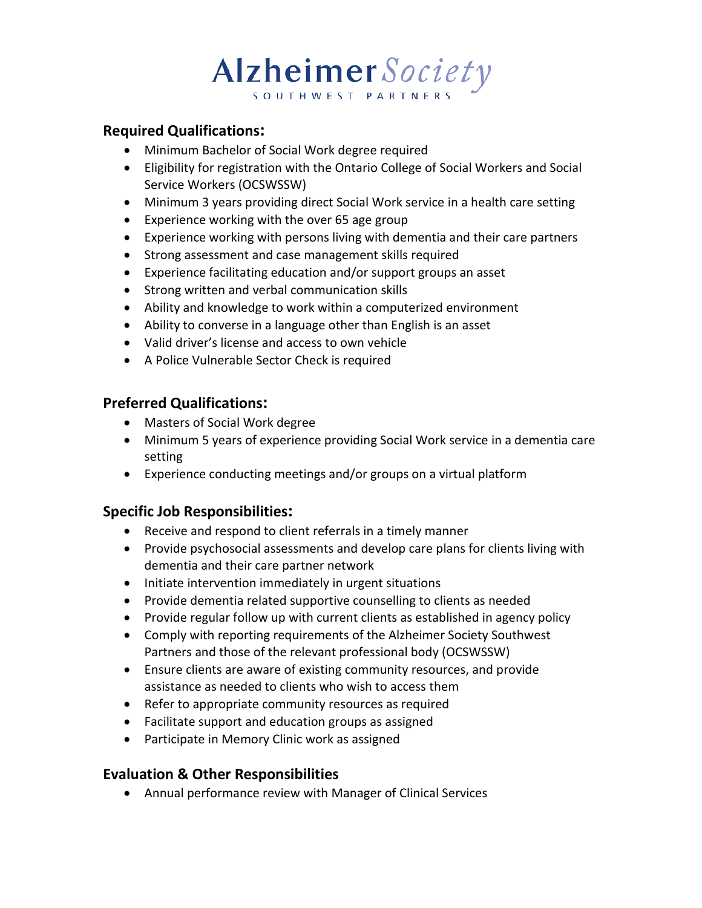# Alzheimer Society SOUTHWEST PARTNERS

## **Required Qualifications:**

- Minimum Bachelor of Social Work degree required
- Eligibility for registration with the Ontario College of Social Workers and Social Service Workers (OCSWSSW)
- Minimum 3 years providing direct Social Work service in a health care setting
- Experience working with the over 65 age group
- Experience working with persons living with dementia and their care partners
- Strong assessment and case management skills required
- Experience facilitating education and/or support groups an asset
- Strong written and verbal communication skills
- Ability and knowledge to work within a computerized environment
- Ability to converse in a language other than English is an asset
- Valid driver's license and access to own vehicle
- A Police Vulnerable Sector Check is required

### **Preferred Qualifications:**

- Masters of Social Work degree
- Minimum 5 years of experience providing Social Work service in a dementia care setting
- Experience conducting meetings and/or groups on a virtual platform

### **Specific Job Responsibilities:**

- Receive and respond to client referrals in a timely manner
- Provide psychosocial assessments and develop care plans for clients living with dementia and their care partner network
- Initiate intervention immediately in urgent situations
- Provide dementia related supportive counselling to clients as needed
- Provide regular follow up with current clients as established in agency policy
- Comply with reporting requirements of the Alzheimer Society Southwest Partners and those of the relevant professional body (OCSWSSW)
- Ensure clients are aware of existing community resources, and provide assistance as needed to clients who wish to access them
- Refer to appropriate community resources as required
- Facilitate support and education groups as assigned
- Participate in Memory Clinic work as assigned

## **Evaluation & Other Responsibilities**

• Annual performance review with Manager of Clinical Services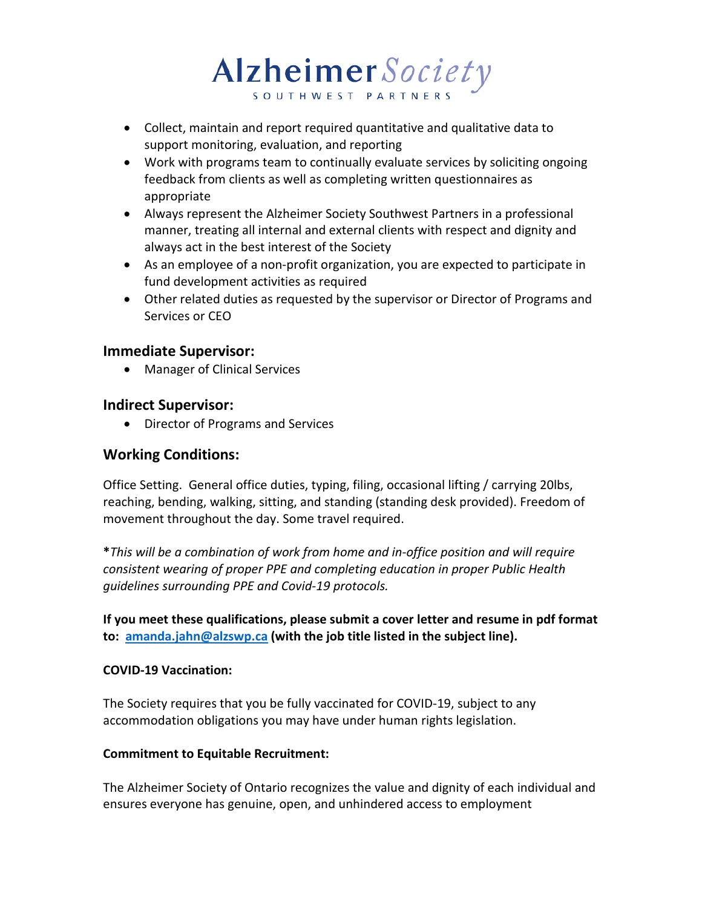

- Collect, maintain and report required quantitative and qualitative data to support monitoring, evaluation, and reporting
- Work with programs team to continually evaluate services by soliciting ongoing feedback from clients as well as completing written questionnaires as appropriate
- Always represent the Alzheimer Society Southwest Partners in a professional manner, treating all internal and external clients with respect and dignity and always act in the best interest of the Society
- As an employee of a non-profit organization, you are expected to participate in fund development activities as required
- Other related duties as requested by the supervisor or Director of Programs and Services or CEO

### **Immediate Supervisor:**

• Manager of Clinical Services

### **Indirect Supervisor:**

• Director of Programs and Services

## **Working Conditions:**

Office Setting. General office duties, typing, filing, occasional lifting / carrying 20lbs, reaching, bending, walking, sitting, and standing (standing desk provided). Freedom of movement throughout the day. Some travel required.

**\****This will be a combination of work from home and in-office position and will require consistent wearing of proper PPE and completing education in proper Public Health guidelines surrounding PPE and Covid-19 protocols.*

**If you meet these qualifications, please submit a cover letter and resume in pdf format to: [amanda.jahn@alzswp.ca](mailto:amanda.jahn@alzswp.ca) (with the job title listed in the subject line).**

#### **COVID-19 Vaccination:**

The Society requires that you be fully vaccinated for COVID-19, subject to any accommodation obligations you may have under human rights legislation.

### **Commitment to Equitable Recruitment:**

The Alzheimer Society of Ontario recognizes the value and dignity of each individual and ensures everyone has genuine, open, and unhindered access to employment